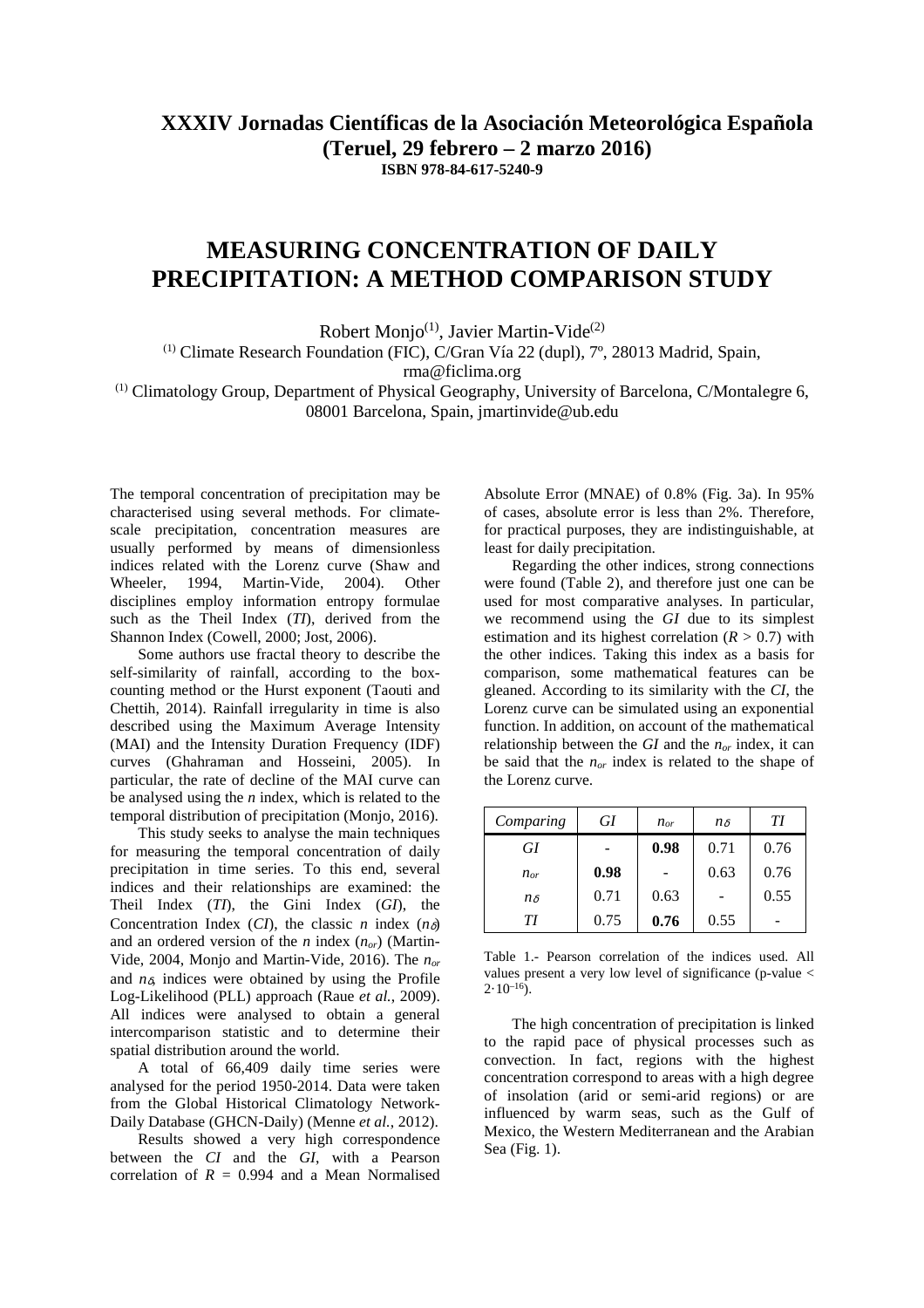## **XXXIV Jornadas Científicas de la Asociación Meteorológica Española (Teruel, 29 febrero – 2 marzo 2016) ISBN 978-84-617-5240-9**

## **MEASURING CONCENTRATION OF DAILY PRECIPITATION: A METHOD COMPARISON STUDY**

Robert Monjo<sup>(1)</sup>, Javier Martin-Vide<sup>(2)</sup>

 $(1)$  Climate Research Foundation (FIC), C/Gran Vía 22 (dupl),  $7^\circ$ , 28013 Madrid, Spain,

rma@ficlima.org

(1) Climatology Group, Department of Physical Geography, University of Barcelona, C/Montalegre 6, 08001 Barcelona, Spain, jmartinvide@ub.edu

The temporal concentration of precipitation may be characterised using several methods. For climatescale precipitation, concentration measures are usually performed by means of dimensionless indices related with the Lorenz curve (Shaw and Wheeler, 1994, Martin-Vide, 2004). Other disciplines employ information entropy formulae such as the Theil Index (*TI*), derived from the Shannon Index (Cowell, 2000; Jost, 2006).

Some authors use fractal theory to describe the self-similarity of rainfall, according to the boxcounting method or the Hurst exponent (Taouti and Chettih, 2014). Rainfall irregularity in time is also described using the Maximum Average Intensity (MAI) and the Intensity Duration Frequency (IDF) curves (Ghahraman and Hosseini, 2005). In particular, the rate of decline of the MAI curve can be analysed using the *n* index, which is related to the temporal distribution of precipitation (Monjo, 2016).

This study seeks to analyse the main techniques for measuring the temporal concentration of daily precipitation in time series. To this end, several indices and their relationships are examined: the Theil Index (*TI*), the Gini Index (*GI*), the Concentration Index (*CI*), the classic *n* index (*n*δ) and an ordered version of the *n* index (*nor*) (Martin-Vide, 2004, Monjo and Martin-Vide, 2016). The *nor* and  $n_{\delta}$ , indices were obtained by using the Profile Log-Likelihood (PLL) approach (Raue *et al.*, 2009). All indices were analysed to obtain a general intercomparison statistic and to determine their spatial distribution around the world.

A total of 66,409 daily time series were analysed for the period 1950-2014. Data were taken from the Global Historical Climatology Network-Daily Database (GHCN-Daily) (Menne *et al.*, 2012).

Results showed a very high correspondence between the *CI* and the *GI*, with a Pearson correlation of  $R = 0.994$  and a Mean Normalised

Absolute Error (MNAE) of 0.8% (Fig. 3a). In 95% of cases, absolute error is less than 2%. Therefore, for practical purposes, they are indistinguishable, at least for daily precipitation.

Regarding the other indices, strong connections were found (Table 2), and therefore just one can be used for most comparative analyses. In particular, we recommend using the *GI* due to its simplest estimation and its highest correlation  $(R > 0.7)$  with the other indices. Taking this index as a basis for comparison, some mathematical features can be gleaned. According to its similarity with the *CI*, the Lorenz curve can be simulated using an exponential function. In addition, on account of the mathematical relationship between the *GI* and the *nor* index, it can be said that the *nor* index is related to the shape of the Lorenz curve.

| Comparing    | GI   | $n_{or}$ | $n_{\delta}$ | TІ   |
|--------------|------|----------|--------------|------|
| GI           |      | 0.98     | 0.71         | 0.76 |
| $n_{or}$     | 0.98 |          | 0.63         | 0.76 |
| $n_{\delta}$ | 0.71 | 0.63     |              | 0.55 |
| TІ           | 0.75 | 0.76     | 0.55         |      |

Table 1.- Pearson correlation of the indices used. All values present a very low level of significance (p-value <  $2.10^{-16}$ ).

The high concentration of precipitation is linked to the rapid pace of physical processes such as convection. In fact, regions with the highest concentration correspond to areas with a high degree of insolation (arid or semi-arid regions) or are influenced by warm seas, such as the Gulf of Mexico, the Western Mediterranean and the Arabian Sea (Fig. 1).